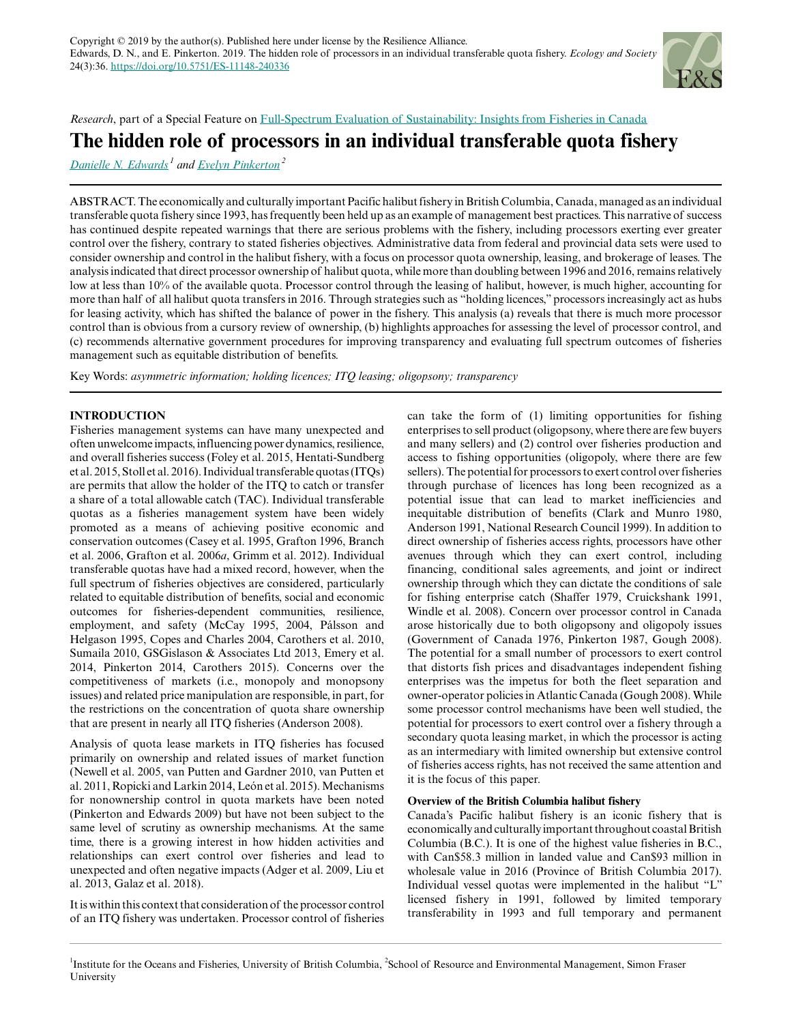

*Research*, part of a Special Feature on [Full-Spectrum Evaluation of Sustainability: Insights from Fisheries in Canada](https://www.ecologyandsociety.org/viewissue.php?sf=132)

# **The hidden role of processors in an individual transferable quota fishery**

*[Danielle N. Edwards](mailto:d.edwards@oceans.ubc.ca)<sup>1</sup> and [Evelyn Pinkerton](mailto:epinkert@sfu.ca)<sup>2</sup>*

ABSTRACT. The economically and culturally important Pacific halibut fishery in British Columbia, Canada, managed as an individual transferable quota fishery since 1993, has frequently been held up as an example of management best practices. This narrative of success has continued despite repeated warnings that there are serious problems with the fishery, including processors exerting ever greater control over the fishery, contrary to stated fisheries objectives. Administrative data from federal and provincial data sets were used to consider ownership and control in the halibut fishery, with a focus on processor quota ownership, leasing, and brokerage of leases. The analysis indicated that direct processor ownership of halibut quota, while more than doubling between 1996 and 2016, remains relatively low at less than 10% of the available quota. Processor control through the leasing of halibut, however, is much higher, accounting for more than half of all halibut quota transfers in 2016. Through strategies such as "holding licences," processors increasingly act as hubs for leasing activity, which has shifted the balance of power in the fishery. This analysis (a) reveals that there is much more processor control than is obvious from a cursory review of ownership, (b) highlights approaches for assessing the level of processor control, and (c) recommends alternative government procedures for improving transparency and evaluating full spectrum outcomes of fisheries management such as equitable distribution of benefits.

Key Words: *asymmetric information; holding licences; ITQ leasing; oligopsony; transparency*

## **INTRODUCTION**

Fisheries management systems can have many unexpected and often unwelcome impacts, influencing power dynamics, resilience, and overall fisheries success (Foley et al. 2015, Hentati-Sundberg et al. 2015, Stoll et al. 2016). Individual transferable quotas (ITQs) are permits that allow the holder of the ITQ to catch or transfer a share of a total allowable catch (TAC). Individual transferable quotas as a fisheries management system have been widely promoted as a means of achieving positive economic and conservation outcomes (Casey et al. 1995, Grafton 1996, Branch et al. 2006, Grafton et al. 2006*a*, Grimm et al. 2012). Individual transferable quotas have had a mixed record, however, when the full spectrum of fisheries objectives are considered, particularly related to equitable distribution of benefits, social and economic outcomes for fisheries-dependent communities, resilience, employment, and safety (McCay 1995, 2004, Pálsson and Helgason 1995, Copes and Charles 2004, Carothers et al. 2010, Sumaila 2010, GSGislason & Associates Ltd 2013, Emery et al. 2014, Pinkerton 2014, Carothers 2015). Concerns over the competitiveness of markets (i.e., monopoly and monopsony issues) and related price manipulation are responsible, in part, for the restrictions on the concentration of quota share ownership that are present in nearly all ITQ fisheries (Anderson 2008).

Analysis of quota lease markets in ITQ fisheries has focused primarily on ownership and related issues of market function (Newell et al. 2005, van Putten and Gardner 2010, van Putten et al. 2011, Ropicki and Larkin 2014, León et al. 2015). Mechanisms for nonownership control in quota markets have been noted (Pinkerton and Edwards 2009) but have not been subject to the same level of scrutiny as ownership mechanisms. At the same time, there is a growing interest in how hidden activities and relationships can exert control over fisheries and lead to unexpected and often negative impacts (Adger et al. 2009, Liu et al. 2013, Galaz et al. 2018).

It is within this context that consideration of the processor control of an ITQ fishery was undertaken. Processor control of fisheries

can take the form of (1) limiting opportunities for fishing enterprises to sell product (oligopsony, where there are few buyers and many sellers) and (2) control over fisheries production and access to fishing opportunities (oligopoly, where there are few sellers). The potential for processors to exert control over fisheries through purchase of licences has long been recognized as a potential issue that can lead to market inefficiencies and inequitable distribution of benefits (Clark and Munro 1980, Anderson 1991, National Research Council 1999). In addition to direct ownership of fisheries access rights, processors have other avenues through which they can exert control, including financing, conditional sales agreements, and joint or indirect ownership through which they can dictate the conditions of sale for fishing enterprise catch (Shaffer 1979, Cruickshank 1991, Windle et al. 2008). Concern over processor control in Canada arose historically due to both oligopsony and oligopoly issues (Government of Canada 1976, Pinkerton 1987, Gough 2008). The potential for a small number of processors to exert control that distorts fish prices and disadvantages independent fishing enterprises was the impetus for both the fleet separation and owner-operator policies in Atlantic Canada (Gough 2008). While some processor control mechanisms have been well studied, the potential for processors to exert control over a fishery through a secondary quota leasing market, in which the processor is acting as an intermediary with limited ownership but extensive control of fisheries access rights, has not received the same attention and it is the focus of this paper.

## **Overview of the British Columbia halibut fishery**

Canada's Pacific halibut fishery is an iconic fishery that is economically and culturally important throughout coastal British Columbia (B.C.). It is one of the highest value fisheries in B.C., with Can\$58.3 million in landed value and Can\$93 million in wholesale value in 2016 (Province of British Columbia 2017). Individual vessel quotas were implemented in the halibut "L" licensed fishery in 1991, followed by limited temporary transferability in 1993 and full temporary and permanent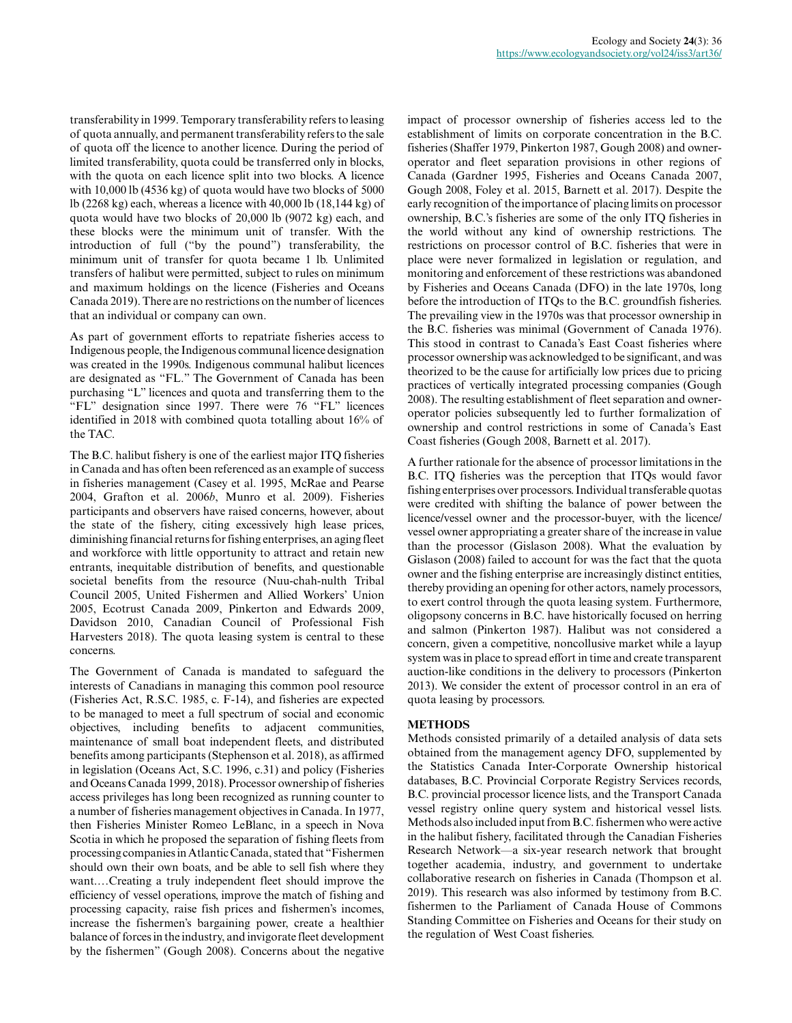transferability in 1999. Temporary transferability refers to leasing of quota annually, and permanent transferability refers to the sale of quota off the licence to another licence. During the period of limited transferability, quota could be transferred only in blocks, with the quota on each licence split into two blocks. A licence with 10,000 lb (4536 kg) of quota would have two blocks of 5000 lb (2268 kg) each, whereas a licence with 40,000 lb (18,144 kg) of quota would have two blocks of 20,000 lb (9072 kg) each, and these blocks were the minimum unit of transfer. With the introduction of full ("by the pound") transferability, the minimum unit of transfer for quota became 1 lb. Unlimited transfers of halibut were permitted, subject to rules on minimum and maximum holdings on the licence (Fisheries and Oceans Canada 2019). There are no restrictions on the number of licences that an individual or company can own.

As part of government efforts to repatriate fisheries access to Indigenous people, the Indigenous communal licence designation was created in the 1990s. Indigenous communal halibut licences are designated as "FL." The Government of Canada has been purchasing "L" licences and quota and transferring them to the "FL" designation since 1997. There were 76 "FL" licences identified in 2018 with combined quota totalling about 16% of the TAC.

The B.C. halibut fishery is one of the earliest major ITQ fisheries in Canada and has often been referenced as an example of success in fisheries management (Casey et al. 1995, McRae and Pearse 2004, Grafton et al. 2006*b*, Munro et al. 2009). Fisheries participants and observers have raised concerns, however, about the state of the fishery, citing excessively high lease prices, diminishing financial returns for fishing enterprises, an aging fleet and workforce with little opportunity to attract and retain new entrants, inequitable distribution of benefits, and questionable societal benefits from the resource (Nuu-chah-nulth Tribal Council 2005, United Fishermen and Allied Workers' Union 2005, Ecotrust Canada 2009, Pinkerton and Edwards 2009, Davidson 2010, Canadian Council of Professional Fish Harvesters 2018). The quota leasing system is central to these concerns.

The Government of Canada is mandated to safeguard the interests of Canadians in managing this common pool resource (Fisheries Act, R.S.C. 1985, c. F-14), and fisheries are expected to be managed to meet a full spectrum of social and economic objectives, including benefits to adjacent communities, maintenance of small boat independent fleets, and distributed benefits among participants (Stephenson et al. 2018), as affirmed in legislation (Oceans Act, S.C. 1996, c.31) and policy (Fisheries and Oceans Canada 1999, 2018). Processor ownership of fisheries access privileges has long been recognized as running counter to a number of fisheries management objectives in Canada. In 1977, then Fisheries Minister Romeo LeBlanc, in a speech in Nova Scotia in which he proposed the separation of fishing fleets from processing companies in Atlantic Canada, stated that "Fishermen should own their own boats, and be able to sell fish where they want.…Creating a truly independent fleet should improve the efficiency of vessel operations, improve the match of fishing and processing capacity, raise fish prices and fishermen's incomes, increase the fishermen's bargaining power, create a healthier balance of forces in the industry, and invigorate fleet development by the fishermen" (Gough 2008). Concerns about the negative impact of processor ownership of fisheries access led to the establishment of limits on corporate concentration in the B.C. fisheries (Shaffer 1979, Pinkerton 1987, Gough 2008) and owneroperator and fleet separation provisions in other regions of Canada (Gardner 1995, Fisheries and Oceans Canada 2007, Gough 2008, Foley et al. 2015, Barnett et al. 2017). Despite the early recognition of the importance of placing limits on processor ownership, B.C.'s fisheries are some of the only ITQ fisheries in the world without any kind of ownership restrictions. The restrictions on processor control of B.C. fisheries that were in place were never formalized in legislation or regulation, and monitoring and enforcement of these restrictions was abandoned by Fisheries and Oceans Canada (DFO) in the late 1970s, long before the introduction of ITQs to the B.C. groundfish fisheries. The prevailing view in the 1970s was that processor ownership in the B.C. fisheries was minimal (Government of Canada 1976). This stood in contrast to Canada's East Coast fisheries where processor ownership was acknowledged to be significant, and was theorized to be the cause for artificially low prices due to pricing practices of vertically integrated processing companies (Gough 2008). The resulting establishment of fleet separation and owneroperator policies subsequently led to further formalization of ownership and control restrictions in some of Canada's East Coast fisheries (Gough 2008, Barnett et al. 2017).

A further rationale for the absence of processor limitations in the B.C. ITQ fisheries was the perception that ITQs would favor fishing enterprises over processors. Individual transferable quotas were credited with shifting the balance of power between the licence/vessel owner and the processor-buyer, with the licence/ vessel owner appropriating a greater share of the increase in value than the processor (Gislason 2008). What the evaluation by Gislason (2008) failed to account for was the fact that the quota owner and the fishing enterprise are increasingly distinct entities, thereby providing an opening for other actors, namely processors, to exert control through the quota leasing system. Furthermore, oligopsony concerns in B.C. have historically focused on herring and salmon (Pinkerton 1987). Halibut was not considered a concern, given a competitive, noncollusive market while a layup system was in place to spread effort in time and create transparent auction-like conditions in the delivery to processors (Pinkerton 2013). We consider the extent of processor control in an era of quota leasing by processors.

## **METHODS**

Methods consisted primarily of a detailed analysis of data sets obtained from the management agency DFO, supplemented by the Statistics Canada Inter-Corporate Ownership historical databases, B.C. Provincial Corporate Registry Services records, B.C. provincial processor licence lists, and the Transport Canada vessel registry online query system and historical vessel lists. Methods also included input from B.C. fishermen who were active in the halibut fishery, facilitated through the Canadian Fisheries Research Network—a six-year research network that brought together academia, industry, and government to undertake collaborative research on fisheries in Canada (Thompson et al. 2019). This research was also informed by testimony from B.C. fishermen to the Parliament of Canada House of Commons Standing Committee on Fisheries and Oceans for their study on the regulation of West Coast fisheries.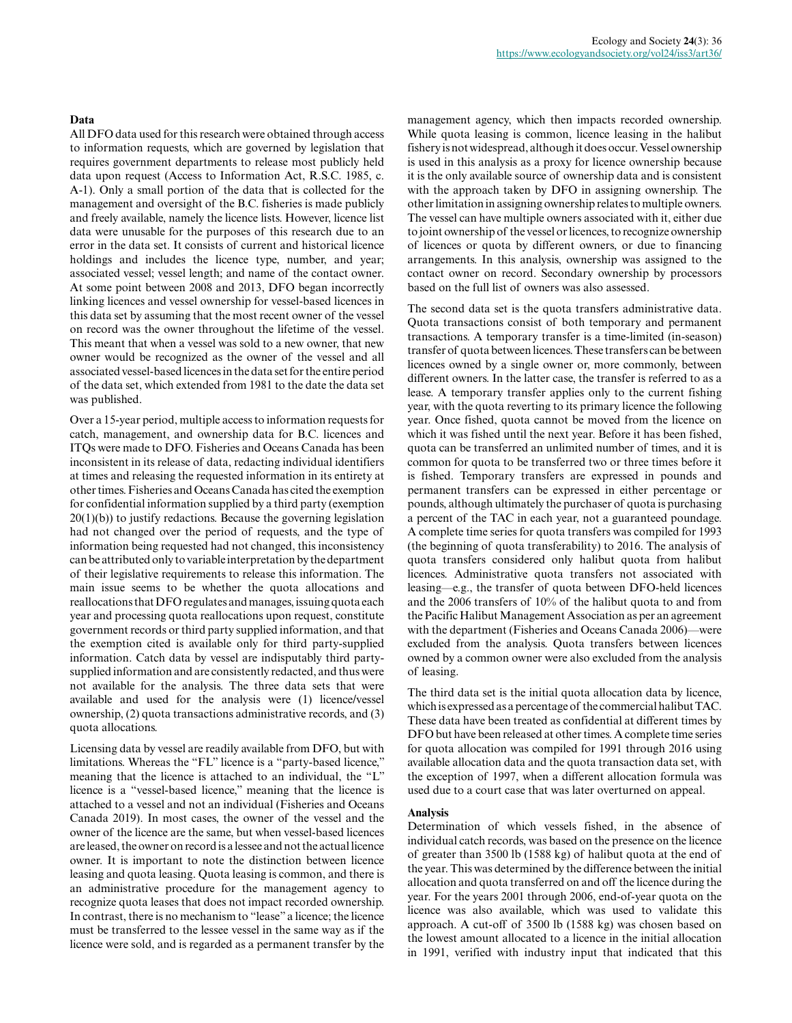#### **Data**

All DFO data used for this research were obtained through access to information requests, which are governed by legislation that requires government departments to release most publicly held data upon request (Access to Information Act, R.S.C. 1985, c. A-1). Only a small portion of the data that is collected for the management and oversight of the B.C. fisheries is made publicly and freely available, namely the licence lists. However, licence list data were unusable for the purposes of this research due to an error in the data set. It consists of current and historical licence holdings and includes the licence type, number, and year; associated vessel; vessel length; and name of the contact owner. At some point between 2008 and 2013, DFO began incorrectly linking licences and vessel ownership for vessel-based licences in this data set by assuming that the most recent owner of the vessel on record was the owner throughout the lifetime of the vessel. This meant that when a vessel was sold to a new owner, that new owner would be recognized as the owner of the vessel and all associated vessel-based licences in the data set for the entire period of the data set, which extended from 1981 to the date the data set was published.

Over a 15-year period, multiple access to information requests for catch, management, and ownership data for B.C. licences and ITQs were made to DFO. Fisheries and Oceans Canada has been inconsistent in its release of data, redacting individual identifiers at times and releasing the requested information in its entirety at other times. Fisheries and Oceans Canada has cited the exemption for confidential information supplied by a third party (exemption 20(1)(b)) to justify redactions. Because the governing legislation had not changed over the period of requests, and the type of information being requested had not changed, this inconsistency can be attributed only to variable interpretation by the department of their legislative requirements to release this information. The main issue seems to be whether the quota allocations and reallocations that DFO regulates and manages, issuing quota each year and processing quota reallocations upon request, constitute government records or third party supplied information, and that the exemption cited is available only for third party-supplied information. Catch data by vessel are indisputably third partysupplied information and are consistently redacted, and thus were not available for the analysis. The three data sets that were available and used for the analysis were (1) licence/vessel ownership, (2) quota transactions administrative records, and (3) quota allocations.

Licensing data by vessel are readily available from DFO, but with limitations. Whereas the "FL" licence is a "party-based licence," meaning that the licence is attached to an individual, the "L" licence is a "vessel-based licence," meaning that the licence is attached to a vessel and not an individual (Fisheries and Oceans Canada 2019). In most cases, the owner of the vessel and the owner of the licence are the same, but when vessel-based licences are leased, the owner on record is a lessee and not the actual licence owner. It is important to note the distinction between licence leasing and quota leasing. Quota leasing is common, and there is an administrative procedure for the management agency to recognize quota leases that does not impact recorded ownership. In contrast, there is no mechanism to "lease" a licence; the licence must be transferred to the lessee vessel in the same way as if the licence were sold, and is regarded as a permanent transfer by the management agency, which then impacts recorded ownership. While quota leasing is common, licence leasing in the halibut fishery is not widespread, although it does occur. Vessel ownership is used in this analysis as a proxy for licence ownership because it is the only available source of ownership data and is consistent with the approach taken by DFO in assigning ownership. The other limitation in assigning ownership relates to multiple owners. The vessel can have multiple owners associated with it, either due to joint ownership of the vessel or licences, to recognize ownership of licences or quota by different owners, or due to financing arrangements. In this analysis, ownership was assigned to the contact owner on record. Secondary ownership by processors based on the full list of owners was also assessed.

The second data set is the quota transfers administrative data. Quota transactions consist of both temporary and permanent transactions. A temporary transfer is a time-limited (in-season) transfer of quota between licences. These transfers can be between licences owned by a single owner or, more commonly, between different owners. In the latter case, the transfer is referred to as a lease. A temporary transfer applies only to the current fishing year, with the quota reverting to its primary licence the following year. Once fished, quota cannot be moved from the licence on which it was fished until the next year. Before it has been fished, quota can be transferred an unlimited number of times, and it is common for quota to be transferred two or three times before it is fished. Temporary transfers are expressed in pounds and permanent transfers can be expressed in either percentage or pounds, although ultimately the purchaser of quota is purchasing a percent of the TAC in each year, not a guaranteed poundage. A complete time series for quota transfers was compiled for 1993 (the beginning of quota transferability) to 2016. The analysis of quota transfers considered only halibut quota from halibut licences. Administrative quota transfers not associated with leasing—e.g., the transfer of quota between DFO-held licences and the 2006 transfers of 10% of the halibut quota to and from the Pacific Halibut Management Association as per an agreement with the department (Fisheries and Oceans Canada 2006)—were excluded from the analysis. Quota transfers between licences owned by a common owner were also excluded from the analysis of leasing.

The third data set is the initial quota allocation data by licence, which is expressed as a percentage of the commercial halibut TAC. These data have been treated as confidential at different times by DFO but have been released at other times. A complete time series for quota allocation was compiled for 1991 through 2016 using available allocation data and the quota transaction data set, with the exception of 1997, when a different allocation formula was used due to a court case that was later overturned on appeal.

#### **Analysis**

Determination of which vessels fished, in the absence of individual catch records, was based on the presence on the licence of greater than 3500 lb (1588 kg) of halibut quota at the end of the year. This was determined by the difference between the initial allocation and quota transferred on and off the licence during the year. For the years 2001 through 2006, end-of-year quota on the licence was also available, which was used to validate this approach. A cut-off of 3500 lb (1588 kg) was chosen based on the lowest amount allocated to a licence in the initial allocation in 1991, verified with industry input that indicated that this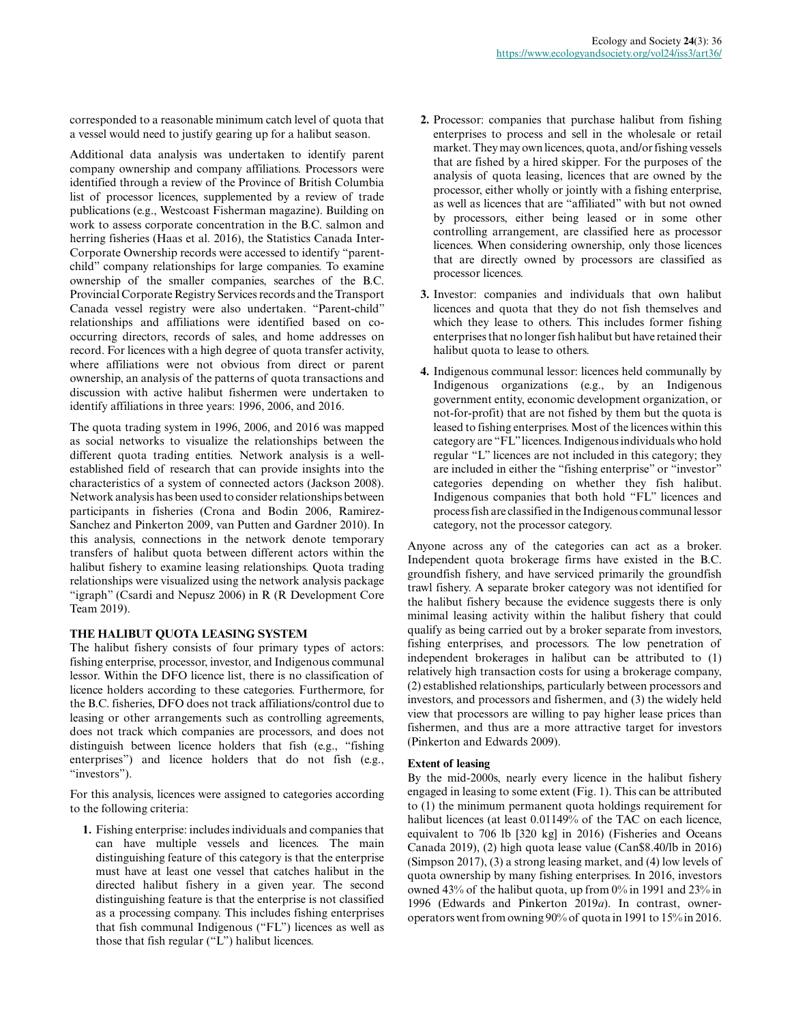corresponded to a reasonable minimum catch level of quota that a vessel would need to justify gearing up for a halibut season.

Additional data analysis was undertaken to identify parent company ownership and company affiliations. Processors were identified through a review of the Province of British Columbia list of processor licences, supplemented by a review of trade publications (e.g., Westcoast Fisherman magazine). Building on work to assess corporate concentration in the B.C. salmon and herring fisheries (Haas et al. 2016), the Statistics Canada Inter-Corporate Ownership records were accessed to identify "parentchild" company relationships for large companies. To examine ownership of the smaller companies, searches of the B.C. Provincial Corporate Registry Services records and the Transport Canada vessel registry were also undertaken. "Parent-child" relationships and affiliations were identified based on cooccurring directors, records of sales, and home addresses on record. For licences with a high degree of quota transfer activity, where affiliations were not obvious from direct or parent ownership, an analysis of the patterns of quota transactions and discussion with active halibut fishermen were undertaken to identify affiliations in three years: 1996, 2006, and 2016.

The quota trading system in 1996, 2006, and 2016 was mapped as social networks to visualize the relationships between the different quota trading entities. Network analysis is a wellestablished field of research that can provide insights into the characteristics of a system of connected actors (Jackson 2008). Network analysis has been used to consider relationships between participants in fisheries (Crona and Bodin 2006, Ramirez-Sanchez and Pinkerton 2009, van Putten and Gardner 2010). In this analysis, connections in the network denote temporary transfers of halibut quota between different actors within the halibut fishery to examine leasing relationships. Quota trading relationships were visualized using the network analysis package "igraph" (Csardi and Nepusz 2006) in R (R Development Core Team 2019).

## **THE HALIBUT QUOTA LEASING SYSTEM**

The halibut fishery consists of four primary types of actors: fishing enterprise, processor, investor, and Indigenous communal lessor. Within the DFO licence list, there is no classification of licence holders according to these categories. Furthermore, for the B.C. fisheries, DFO does not track affiliations/control due to leasing or other arrangements such as controlling agreements, does not track which companies are processors, and does not distinguish between licence holders that fish (e.g., "fishing enterprises") and licence holders that do not fish (e.g., "investors").

For this analysis, licences were assigned to categories according to the following criteria:

**1.** Fishing enterprise: includes individuals and companies that can have multiple vessels and licences. The main distinguishing feature of this category is that the enterprise must have at least one vessel that catches halibut in the directed halibut fishery in a given year. The second distinguishing feature is that the enterprise is not classified as a processing company. This includes fishing enterprises that fish communal Indigenous ("FL") licences as well as those that fish regular ("L") halibut licences.

- **2.** Processor: companies that purchase halibut from fishing enterprises to process and sell in the wholesale or retail market. They may own licences, quota, and/or fishing vessels that are fished by a hired skipper. For the purposes of the analysis of quota leasing, licences that are owned by the processor, either wholly or jointly with a fishing enterprise, as well as licences that are "affiliated" with but not owned by processors, either being leased or in some other controlling arrangement, are classified here as processor licences. When considering ownership, only those licences that are directly owned by processors are classified as processor licences.
- **3.** Investor: companies and individuals that own halibut licences and quota that they do not fish themselves and which they lease to others. This includes former fishing enterprises that no longer fish halibut but have retained their halibut quota to lease to others.
- **4.** Indigenous communal lessor: licences held communally by Indigenous organizations (e.g., by an Indigenous government entity, economic development organization, or not-for-profit) that are not fished by them but the quota is leased to fishing enterprises. Most of the licences within this category are "FL" licences. Indigenous individuals who hold regular "L" licences are not included in this category; they are included in either the "fishing enterprise" or "investor" categories depending on whether they fish halibut. Indigenous companies that both hold "FL" licences and process fish are classified in the Indigenous communal lessor category, not the processor category.

Anyone across any of the categories can act as a broker. Independent quota brokerage firms have existed in the B.C. groundfish fishery, and have serviced primarily the groundfish trawl fishery. A separate broker category was not identified for the halibut fishery because the evidence suggests there is only minimal leasing activity within the halibut fishery that could qualify as being carried out by a broker separate from investors, fishing enterprises, and processors. The low penetration of independent brokerages in halibut can be attributed to (1) relatively high transaction costs for using a brokerage company, (2) established relationships, particularly between processors and investors, and processors and fishermen, and (3) the widely held view that processors are willing to pay higher lease prices than fishermen, and thus are a more attractive target for investors (Pinkerton and Edwards 2009).

#### **Extent of leasing**

By the mid-2000s, nearly every licence in the halibut fishery engaged in leasing to some extent (Fig. 1). This can be attributed to (1) the minimum permanent quota holdings requirement for halibut licences (at least 0.01149% of the TAC on each licence, equivalent to 706 lb [320 kg] in 2016) (Fisheries and Oceans Canada 2019), (2) high quota lease value (Can\$8.40/lb in 2016) (Simpson 2017), (3) a strong leasing market, and (4) low levels of quota ownership by many fishing enterprises. In 2016, investors owned 43% of the halibut quota, up from 0% in 1991 and 23% in 1996 (Edwards and Pinkerton 2019*a*). In contrast, owneroperators went from owning 90% of quota in 1991 to 15% in 2016.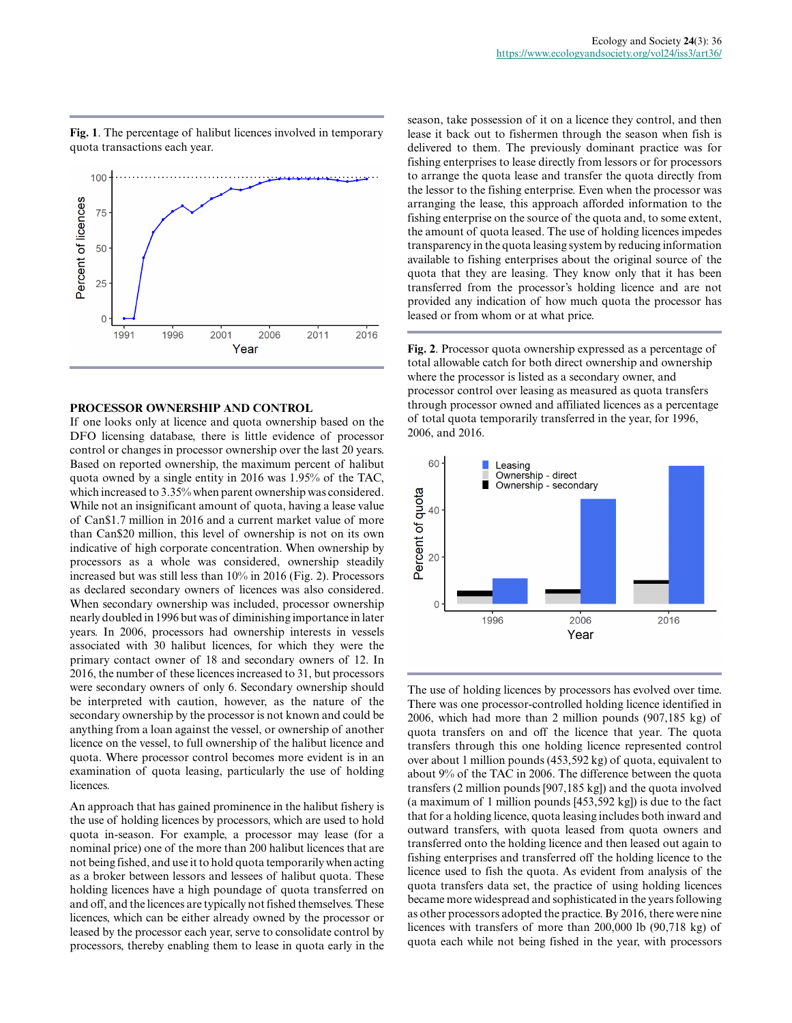**Fig. 1**. The percentage of halibut licences involved in temporary quota transactions each year.



### **PROCESSOR OWNERSHIP AND CONTROL**

If one looks only at licence and quota ownership based on the DFO licensing database, there is little evidence of processor control or changes in processor ownership over the last 20 years. Based on reported ownership, the maximum percent of halibut quota owned by a single entity in 2016 was 1.95% of the TAC, which increased to 3.35% when parent ownership was considered. While not an insignificant amount of quota, having a lease value of Can\$1.7 million in 2016 and a current market value of more than Can\$20 million, this level of ownership is not on its own indicative of high corporate concentration. When ownership by processors as a whole was considered, ownership steadily increased but was still less than 10% in 2016 (Fig. 2). Processors as declared secondary owners of licences was also considered. When secondary ownership was included, processor ownership nearly doubled in 1996 but was of diminishing importance in later years. In 2006, processors had ownership interests in vessels associated with 30 halibut licences, for which they were the primary contact owner of 18 and secondary owners of 12. In 2016, the number of these licences increased to 31, but processors were secondary owners of only 6. Secondary ownership should be interpreted with caution, however, as the nature of the secondary ownership by the processor is not known and could be anything from a loan against the vessel, or ownership of another licence on the vessel, to full ownership of the halibut licence and quota. Where processor control becomes more evident is in an examination of quota leasing, particularly the use of holding licences.

An approach that has gained prominence in the halibut fishery is the use of holding licences by processors, which are used to hold quota in-season. For example, a processor may lease (for a nominal price) one of the more than 200 halibut licences that are not being fished, and use it to hold quota temporarily when acting as a broker between lessors and lessees of halibut quota. These holding licences have a high poundage of quota transferred on and off, and the licences are typically not fished themselves. These licences, which can be either already owned by the processor or leased by the processor each year, serve to consolidate control by processors, thereby enabling them to lease in quota early in the season, take possession of it on a licence they control, and then lease it back out to fishermen through the season when fish is delivered to them. The previously dominant practice was for fishing enterprises to lease directly from lessors or for processors to arrange the quota lease and transfer the quota directly from the lessor to the fishing enterprise. Even when the processor was arranging the lease, this approach afforded information to the fishing enterprise on the source of the quota and, to some extent, the amount of quota leased. The use of holding licences impedes transparency in the quota leasing system by reducing information available to fishing enterprises about the original source of the quota that they are leasing. They know only that it has been transferred from the processor's holding licence and are not provided any indication of how much quota the processor has leased or from whom or at what price.

**Fig. 2**. Processor quota ownership expressed as a percentage of total allowable catch for both direct ownership and ownership where the processor is listed as a secondary owner, and processor control over leasing as measured as quota transfers through processor owned and affiliated licences as a percentage of total quota temporarily transferred in the year, for 1996, 2006, and 2016.



The use of holding licences by processors has evolved over time. There was one processor-controlled holding licence identified in 2006, which had more than 2 million pounds (907,185 kg) of quota transfers on and off the licence that year. The quota transfers through this one holding licence represented control over about 1 million pounds (453,592 kg) of quota, equivalent to about 9% of the TAC in 2006. The difference between the quota transfers (2 million pounds [907,185 kg]) and the quota involved (a maximum of 1 million pounds [453,592 kg]) is due to the fact that for a holding licence, quota leasing includes both inward and outward transfers, with quota leased from quota owners and transferred onto the holding licence and then leased out again to fishing enterprises and transferred off the holding licence to the licence used to fish the quota. As evident from analysis of the quota transfers data set, the practice of using holding licences became more widespread and sophisticated in the years following as other processors adopted the practice. By 2016, there were nine licences with transfers of more than 200,000 lb (90,718 kg) of quota each while not being fished in the year, with processors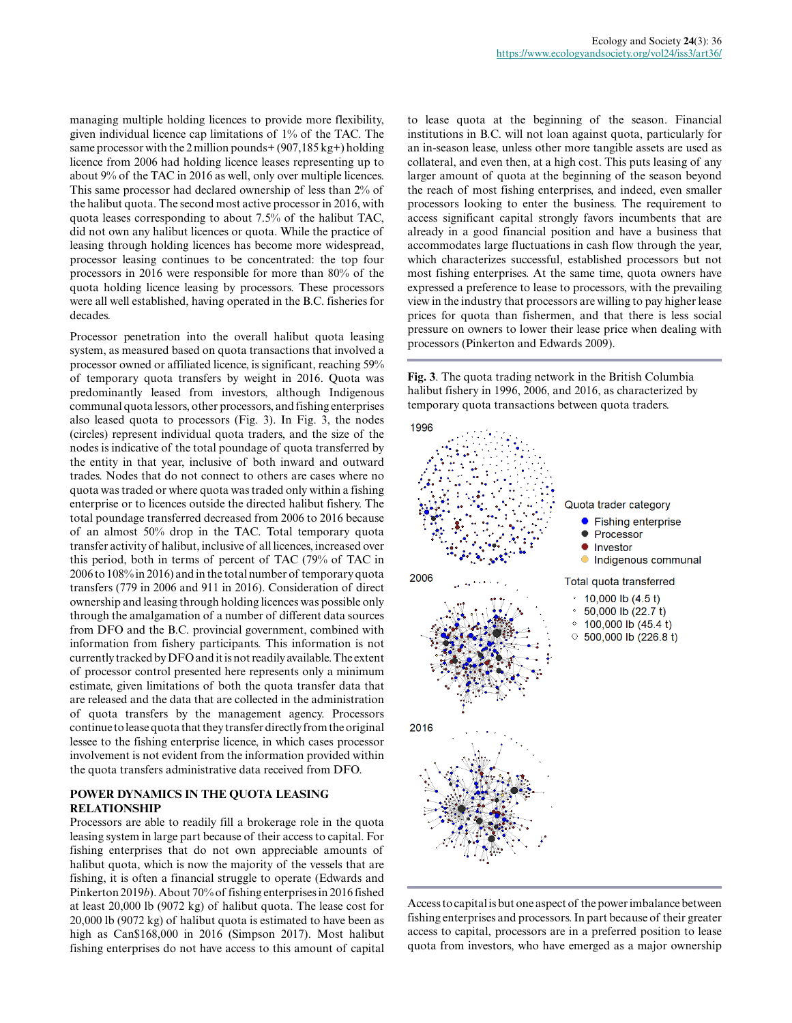managing multiple holding licences to provide more flexibility, given individual licence cap limitations of 1% of the TAC. The same processor with the 2 million pounds+ (907,185 kg+) holding licence from 2006 had holding licence leases representing up to about 9% of the TAC in 2016 as well, only over multiple licences. This same processor had declared ownership of less than 2% of the halibut quota. The second most active processor in 2016, with quota leases corresponding to about 7.5% of the halibut TAC, did not own any halibut licences or quota. While the practice of leasing through holding licences has become more widespread, processor leasing continues to be concentrated: the top four processors in 2016 were responsible for more than 80% of the quota holding licence leasing by processors. These processors were all well established, having operated in the B.C. fisheries for decades.

Processor penetration into the overall halibut quota leasing system, as measured based on quota transactions that involved a processor owned or affiliated licence, is significant, reaching 59% of temporary quota transfers by weight in 2016. Quota was predominantly leased from investors, although Indigenous communal quota lessors, other processors, and fishing enterprises also leased quota to processors (Fig. 3). In Fig. 3, the nodes (circles) represent individual quota traders, and the size of the nodes is indicative of the total poundage of quota transferred by the entity in that year, inclusive of both inward and outward trades. Nodes that do not connect to others are cases where no quota was traded or where quota was traded only within a fishing enterprise or to licences outside the directed halibut fishery. The total poundage transferred decreased from 2006 to 2016 because of an almost 50% drop in the TAC. Total temporary quota transfer activity of halibut, inclusive of all licences, increased over this period, both in terms of percent of TAC (79% of TAC in 2006 to 108% in 2016) and in the total number of temporary quota transfers (779 in 2006 and 911 in 2016). Consideration of direct ownership and leasing through holding licences was possible only through the amalgamation of a number of different data sources from DFO and the B.C. provincial government, combined with information from fishery participants. This information is not currently tracked by DFO and it is not readily available. The extent of processor control presented here represents only a minimum estimate, given limitations of both the quota transfer data that are released and the data that are collected in the administration of quota transfers by the management agency. Processors continue to lease quota that they transfer directly from the original lessee to the fishing enterprise licence, in which cases processor involvement is not evident from the information provided within the quota transfers administrative data received from DFO.

## **POWER DYNAMICS IN THE QUOTA LEASING RELATIONSHIP**

Processors are able to readily fill a brokerage role in the quota leasing system in large part because of their access to capital. For fishing enterprises that do not own appreciable amounts of halibut quota, which is now the majority of the vessels that are fishing, it is often a financial struggle to operate (Edwards and Pinkerton 2019*b*). About 70% of fishing enterprises in 2016 fished at least 20,000 lb (9072 kg) of halibut quota. The lease cost for 20,000 lb (9072 kg) of halibut quota is estimated to have been as high as Can\$168,000 in 2016 (Simpson 2017). Most halibut fishing enterprises do not have access to this amount of capital

to lease quota at the beginning of the season. Financial institutions in B.C. will not loan against quota, particularly for an in-season lease, unless other more tangible assets are used as collateral, and even then, at a high cost. This puts leasing of any larger amount of quota at the beginning of the season beyond the reach of most fishing enterprises, and indeed, even smaller processors looking to enter the business. The requirement to access significant capital strongly favors incumbents that are already in a good financial position and have a business that accommodates large fluctuations in cash flow through the year, which characterizes successful, established processors but not most fishing enterprises. At the same time, quota owners have expressed a preference to lease to processors, with the prevailing view in the industry that processors are willing to pay higher lease prices for quota than fishermen, and that there is less social pressure on owners to lower their lease price when dealing with processors (Pinkerton and Edwards 2009).

**Fig. 3**. The quota trading network in the British Columbia halibut fishery in 1996, 2006, and 2016, as characterized by temporary quota transactions between quota traders.



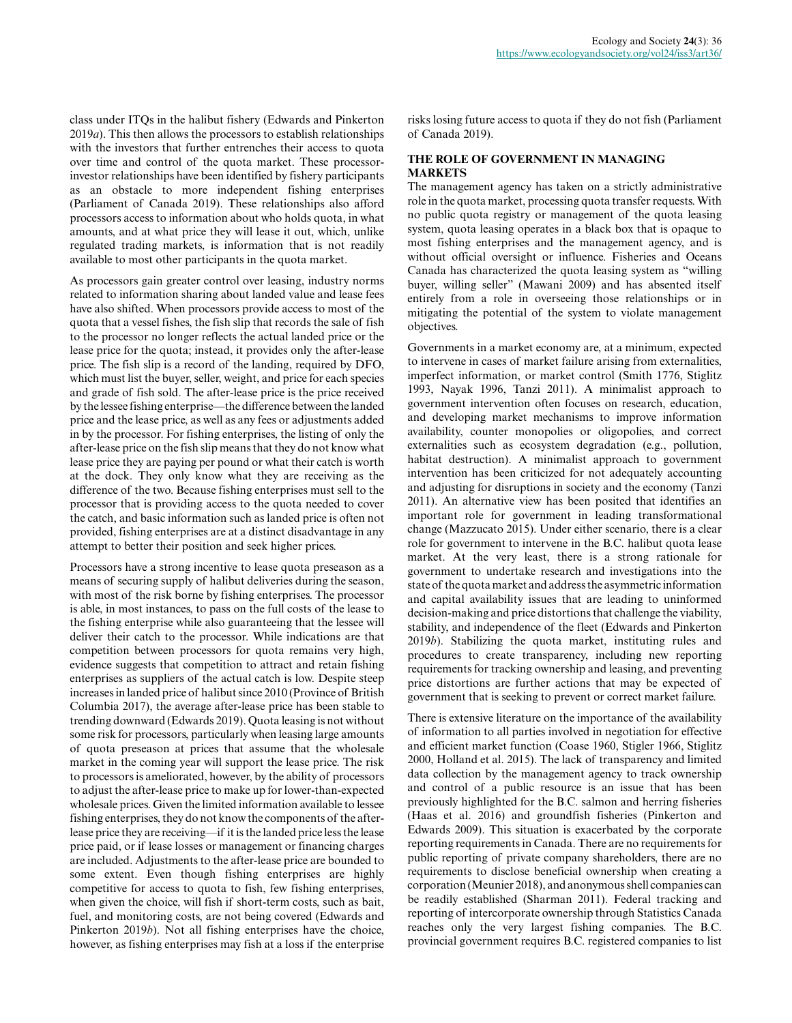class under ITQs in the halibut fishery (Edwards and Pinkerton 2019*a*). This then allows the processors to establish relationships with the investors that further entrenches their access to quota over time and control of the quota market. These processorinvestor relationships have been identified by fishery participants as an obstacle to more independent fishing enterprises (Parliament of Canada 2019). These relationships also afford processors access to information about who holds quota, in what amounts, and at what price they will lease it out, which, unlike regulated trading markets, is information that is not readily available to most other participants in the quota market.

As processors gain greater control over leasing, industry norms related to information sharing about landed value and lease fees have also shifted. When processors provide access to most of the quota that a vessel fishes, the fish slip that records the sale of fish to the processor no longer reflects the actual landed price or the lease price for the quota; instead, it provides only the after-lease price. The fish slip is a record of the landing, required by DFO, which must list the buyer, seller, weight, and price for each species and grade of fish sold. The after-lease price is the price received by the lessee fishing enterprise—the difference between the landed price and the lease price, as well as any fees or adjustments added in by the processor. For fishing enterprises, the listing of only the after-lease price on the fish slip means that they do not know what lease price they are paying per pound or what their catch is worth at the dock. They only know what they are receiving as the difference of the two. Because fishing enterprises must sell to the processor that is providing access to the quota needed to cover the catch, and basic information such as landed price is often not provided, fishing enterprises are at a distinct disadvantage in any attempt to better their position and seek higher prices.

Processors have a strong incentive to lease quota preseason as a means of securing supply of halibut deliveries during the season, with most of the risk borne by fishing enterprises. The processor is able, in most instances, to pass on the full costs of the lease to the fishing enterprise while also guaranteeing that the lessee will deliver their catch to the processor. While indications are that competition between processors for quota remains very high, evidence suggests that competition to attract and retain fishing enterprises as suppliers of the actual catch is low. Despite steep increases in landed price of halibut since 2010 (Province of British Columbia 2017), the average after-lease price has been stable to trending downward (Edwards 2019). Quota leasing is not without some risk for processors, particularly when leasing large amounts of quota preseason at prices that assume that the wholesale market in the coming year will support the lease price. The risk to processors is ameliorated, however, by the ability of processors to adjust the after-lease price to make up for lower-than-expected wholesale prices. Given the limited information available to lessee fishing enterprises, they do not know the components of the afterlease price they are receiving—if it is the landed price less the lease price paid, or if lease losses or management or financing charges are included. Adjustments to the after-lease price are bounded to some extent. Even though fishing enterprises are highly competitive for access to quota to fish, few fishing enterprises, when given the choice, will fish if short-term costs, such as bait, fuel, and monitoring costs, are not being covered (Edwards and Pinkerton 2019*b*). Not all fishing enterprises have the choice, however, as fishing enterprises may fish at a loss if the enterprise

risks losing future access to quota if they do not fish (Parliament of Canada 2019).

## **THE ROLE OF GOVERNMENT IN MANAGING MARKETS**

The management agency has taken on a strictly administrative role in the quota market, processing quota transfer requests. With no public quota registry or management of the quota leasing system, quota leasing operates in a black box that is opaque to most fishing enterprises and the management agency, and is without official oversight or influence. Fisheries and Oceans Canada has characterized the quota leasing system as "willing buyer, willing seller" (Mawani 2009) and has absented itself entirely from a role in overseeing those relationships or in mitigating the potential of the system to violate management objectives.

Governments in a market economy are, at a minimum, expected to intervene in cases of market failure arising from externalities, imperfect information, or market control (Smith 1776, Stiglitz 1993, Nayak 1996, Tanzi 2011). A minimalist approach to government intervention often focuses on research, education, and developing market mechanisms to improve information availability, counter monopolies or oligopolies, and correct externalities such as ecosystem degradation (e.g., pollution, habitat destruction). A minimalist approach to government intervention has been criticized for not adequately accounting and adjusting for disruptions in society and the economy (Tanzi 2011). An alternative view has been posited that identifies an important role for government in leading transformational change (Mazzucato 2015). Under either scenario, there is a clear role for government to intervene in the B.C. halibut quota lease market. At the very least, there is a strong rationale for government to undertake research and investigations into the state of the quota market and address the asymmetric information and capital availability issues that are leading to uninformed decision-making and price distortions that challenge the viability, stability, and independence of the fleet (Edwards and Pinkerton 2019*b*). Stabilizing the quota market, instituting rules and procedures to create transparency, including new reporting requirements for tracking ownership and leasing, and preventing price distortions are further actions that may be expected of government that is seeking to prevent or correct market failure.

There is extensive literature on the importance of the availability of information to all parties involved in negotiation for effective and efficient market function (Coase 1960, Stigler 1966, Stiglitz 2000, Holland et al. 2015). The lack of transparency and limited data collection by the management agency to track ownership and control of a public resource is an issue that has been previously highlighted for the B.C. salmon and herring fisheries (Haas et al. 2016) and groundfish fisheries (Pinkerton and Edwards 2009). This situation is exacerbated by the corporate reporting requirements in Canada. There are no requirements for public reporting of private company shareholders, there are no requirements to disclose beneficial ownership when creating a corporation (Meunier 2018), and anonymous shell companies can be readily established (Sharman 2011). Federal tracking and reporting of intercorporate ownership through Statistics Canada reaches only the very largest fishing companies. The B.C. provincial government requires B.C. registered companies to list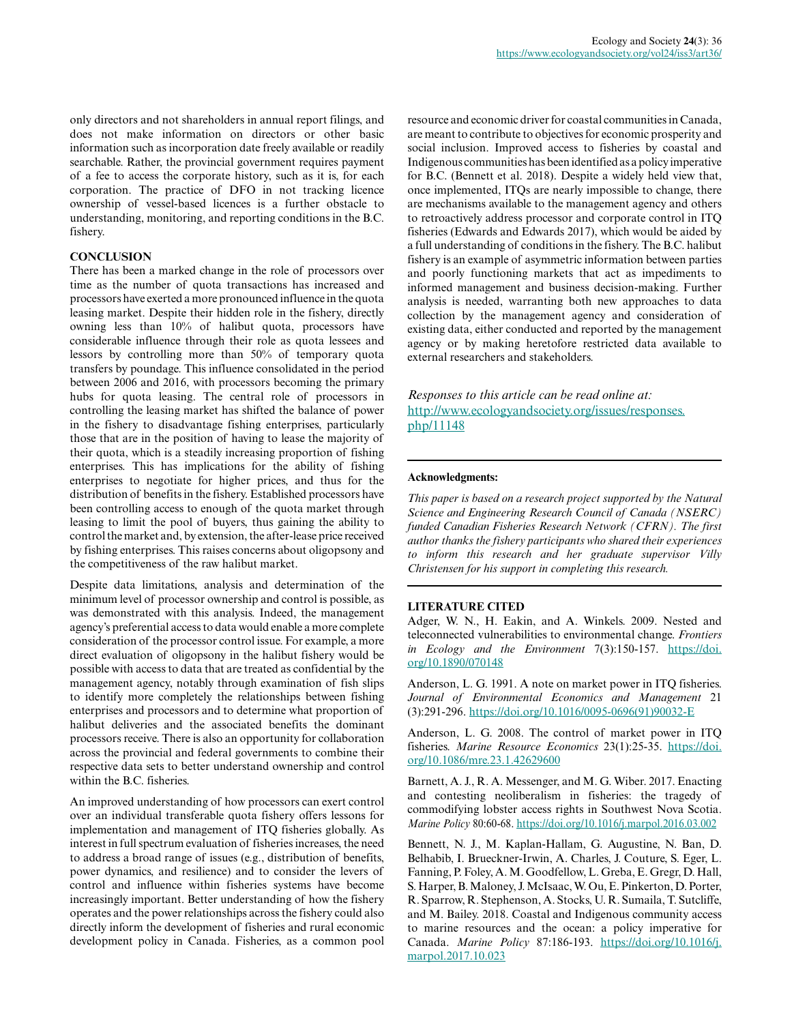only directors and not shareholders in annual report filings, and does not make information on directors or other basic information such as incorporation date freely available or readily searchable. Rather, the provincial government requires payment of a fee to access the corporate history, such as it is, for each corporation. The practice of DFO in not tracking licence ownership of vessel-based licences is a further obstacle to understanding, monitoring, and reporting conditions in the B.C. fishery.

### **CONCLUSION**

There has been a marked change in the role of processors over time as the number of quota transactions has increased and processors have exerted a more pronounced influence in the quota leasing market. Despite their hidden role in the fishery, directly owning less than 10% of halibut quota, processors have considerable influence through their role as quota lessees and lessors by controlling more than 50% of temporary quota transfers by poundage. This influence consolidated in the period between 2006 and 2016, with processors becoming the primary hubs for quota leasing. The central role of processors in controlling the leasing market has shifted the balance of power in the fishery to disadvantage fishing enterprises, particularly those that are in the position of having to lease the majority of their quota, which is a steadily increasing proportion of fishing enterprises. This has implications for the ability of fishing enterprises to negotiate for higher prices, and thus for the distribution of benefits in the fishery. Established processors have been controlling access to enough of the quota market through leasing to limit the pool of buyers, thus gaining the ability to control the market and, by extension, the after-lease price received by fishing enterprises. This raises concerns about oligopsony and the competitiveness of the raw halibut market.

Despite data limitations, analysis and determination of the minimum level of processor ownership and control is possible, as was demonstrated with this analysis. Indeed, the management agency's preferential access to data would enable a more complete consideration of the processor control issue. For example, a more direct evaluation of oligopsony in the halibut fishery would be possible with access to data that are treated as confidential by the management agency, notably through examination of fish slips to identify more completely the relationships between fishing enterprises and processors and to determine what proportion of halibut deliveries and the associated benefits the dominant processors receive. There is also an opportunity for collaboration across the provincial and federal governments to combine their respective data sets to better understand ownership and control within the B.C. fisheries.

An improved understanding of how processors can exert control over an individual transferable quota fishery offers lessons for implementation and management of ITQ fisheries globally. As interest in full spectrum evaluation of fisheries increases, the need to address a broad range of issues (e.g., distribution of benefits, power dynamics, and resilience) and to consider the levers of control and influence within fisheries systems have become increasingly important. Better understanding of how the fishery operates and the power relationships across the fishery could also directly inform the development of fisheries and rural economic development policy in Canada. Fisheries, as a common pool

resource and economic driver for coastal communities in Canada, are meant to contribute to objectives for economic prosperity and social inclusion. Improved access to fisheries by coastal and Indigenous communities has been identified as a policy imperative for B.C. (Bennett et al. 2018). Despite a widely held view that, once implemented, ITQs are nearly impossible to change, there are mechanisms available to the management agency and others to retroactively address processor and corporate control in ITQ fisheries (Edwards and Edwards 2017), which would be aided by a full understanding of conditions in the fishery. The B.C. halibut fishery is an example of asymmetric information between parties and poorly functioning markets that act as impediments to informed management and business decision-making. Further analysis is needed, warranting both new approaches to data collection by the management agency and consideration of existing data, either conducted and reported by the management agency or by making heretofore restricted data available to external researchers and stakeholders.

*Responses to this article can be read online at:* [http://www.ecologyandsociety.org/issues/responses.](http://www.ecologyandsociety.org/issues/responses.php/11148) [php/11148](http://www.ecologyandsociety.org/issues/responses.php/11148)

### **Acknowledgments:**

*This paper is based on a research project supported by the Natural Science and Engineering Research Council of Canada (NSERC) funded Canadian Fisheries Research Network (CFRN). The first author thanks the fishery participants who shared their experiences to inform this research and her graduate supervisor Villy Christensen for his support in completing this research.*

#### **LITERATURE CITED**

Adger, W. N., H. Eakin, and A. Winkels. 2009. Nested and teleconnected vulnerabilities to environmental change. *Frontiers in Ecology and the Environment* 7(3):150-157. [https://doi.](https://doi.org/10.1890/070148) [org/10.1890/070148](https://doi.org/10.1890/070148)

Anderson, L. G. 1991. A note on market power in ITQ fisheries. *Journal of Environmental Economics and Management* 21 (3):291-296. [https://doi.org/10.1016/0095-0696\(91\)90032-E](https://doi.org/10.1016/0095-0696(91)90032-E)

Anderson, L. G. 2008. The control of market power in ITQ fisheries. *Marine Resource Economics* 23(1):25-35. [https://doi.](https://doi.org/10.1086/mre.23.1.42629600) [org/10.1086/mre.23.1.42629600](https://doi.org/10.1086/mre.23.1.42629600)

Barnett, A. J., R. A. Messenger, and M. G. Wiber. 2017. Enacting and contesting neoliberalism in fisheries: the tragedy of commodifying lobster access rights in Southwest Nova Scotia. *Marine Policy* 80:60-68.<https://doi.org/10.1016/j.marpol.2016.03.002>

Bennett, N. J., M. Kaplan-Hallam, G. Augustine, N. Ban, D. Belhabib, I. Brueckner-Irwin, A. Charles, J. Couture, S. Eger, L. Fanning, P. Foley, A. M. Goodfellow, L. Greba, E. Gregr, D. Hall, S. Harper, B. Maloney, J. McIsaac, W. Ou, E. Pinkerton, D. Porter, R. Sparrow, R. Stephenson, A. Stocks, U. R. Sumaila, T. Sutcliffe, and M. Bailey. 2018. Coastal and Indigenous community access to marine resources and the ocean: a policy imperative for Canada. *Marine Policy* 87:186-193. [https://doi.org/10.1016/j.](https://doi.org/10.1016/j.marpol.2017.10.023) [marpol.2017.10.023](https://doi.org/10.1016/j.marpol.2017.10.023)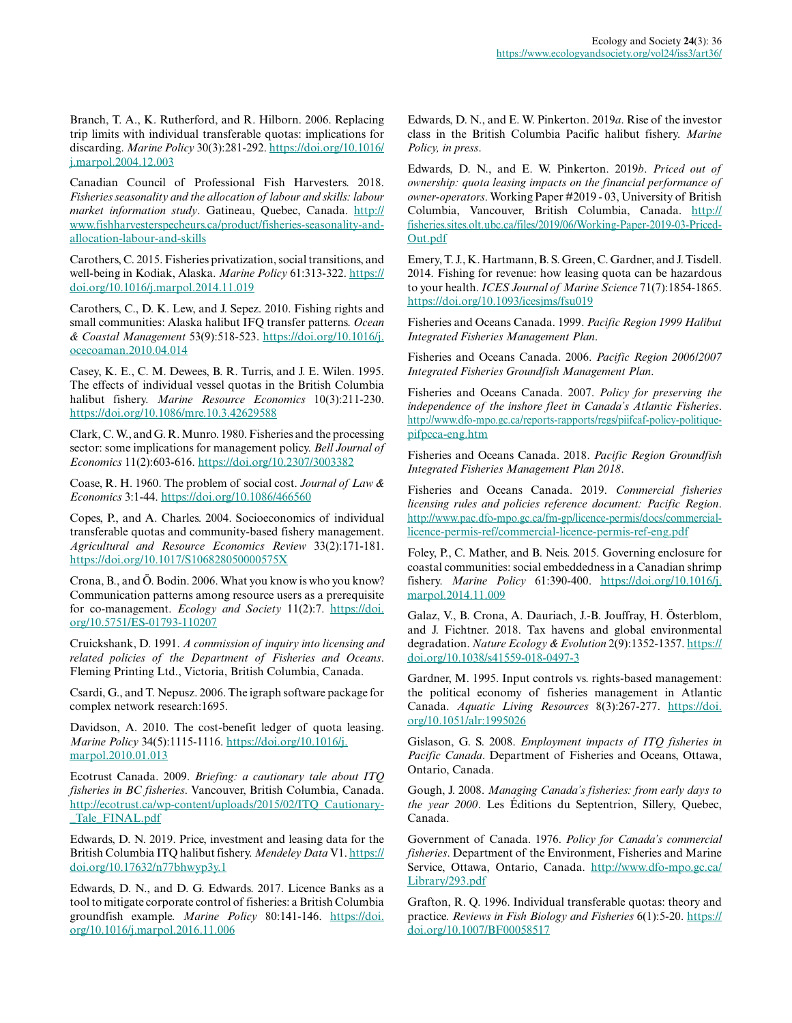Branch, T. A., K. Rutherford, and R. Hilborn. 2006. Replacing trip limits with individual transferable quotas: implications for discarding. *Marine Policy* 30(3):281-292. [https://doi.org/10.1016/](https://doi.org/10.1016/j.marpol.2004.12.003) [j.marpol.2004.12.003](https://doi.org/10.1016/j.marpol.2004.12.003)

Canadian Council of Professional Fish Harvesters. 2018. *Fisheries seasonality and the allocation of labour and skills: labour market information study*. Gatineau, Quebec, Canada. [http://](http://www.fishharvesterspecheurs.ca/product/fisheries-seasonality-and-allocation-labour-and-skills) [www.fishharvesterspecheurs.ca/product/fisheries-seasonality-and](http://www.fishharvesterspecheurs.ca/product/fisheries-seasonality-and-allocation-labour-and-skills)[allocation-labour-and-skills](http://www.fishharvesterspecheurs.ca/product/fisheries-seasonality-and-allocation-labour-and-skills)

Carothers, C. 2015. Fisheries privatization, social transitions, and well-being in Kodiak, Alaska. *Marine Policy* 61:313-322. [https://](https://doi.org/10.1016/j.marpol.2014.11.019) [doi.org/10.1016/j.marpol.2014.11.019](https://doi.org/10.1016/j.marpol.2014.11.019)

Carothers, C., D. K. Lew, and J. Sepez. 2010. Fishing rights and small communities: Alaska halibut IFQ transfer patterns. *Ocean & Coastal Management* 53(9):518-523. [https://doi.org/10.1016/j.](https://doi.org/10.1016/j.ocecoaman.2010.04.014) [ocecoaman.2010.04.014](https://doi.org/10.1016/j.ocecoaman.2010.04.014) 

Casey, K. E., C. M. Dewees, B. R. Turris, and J. E. Wilen. 1995. The effects of individual vessel quotas in the British Columbia halibut fishery. *Marine Resource Economics* 10(3):211-230. <https://doi.org/10.1086/mre.10.3.42629588>

Clark, C. W., and G. R. Munro. 1980. Fisheries and the processing sector: some implications for management policy. *Bell Journal of Economics* 11(2):603-616.<https://doi.org/10.2307/3003382>

Coase, R. H. 1960. The problem of social cost. *Journal of Law & Economics* 3:1-44. <https://doi.org/10.1086/466560>

Copes, P., and A. Charles. 2004. Socioeconomics of individual transferable quotas and community-based fishery management. *Agricultural and Resource Economics Review* 33(2):171-181. <https://doi.org/10.1017/S106828050000575X>

Crona, B., and Ö. Bodin. 2006. What you know is who you know? Communication patterns among resource users as a prerequisite for co-management. *Ecology and Society* 11(2):7. [https://doi.](https://doi.org/10.5751/ES-01793-110207) [org/10.5751/ES-01793-110207](https://doi.org/10.5751/ES-01793-110207) 

Cruickshank, D. 1991. *A commission of inquiry into licensing and related policies of the Department of Fisheries and Oceans*. Fleming Printing Ltd., Victoria, British Columbia, Canada.

Csardi, G., and T. Nepusz. 2006. The igraph software package for complex network research:1695.

Davidson, A. 2010. The cost-benefit ledger of quota leasing. *Marine Policy* 34(5):1115-1116. [https://doi.org/10.1016/j.](https://doi.org/10.1016/j.marpol.2010.01.013) [marpol.2010.01.013](https://doi.org/10.1016/j.marpol.2010.01.013) 

Ecotrust Canada. 2009. *Briefing: a cautionary tale about ITQ fisheries in BC fisheries*. Vancouver, British Columbia, Canada. [http://ecotrust.ca/wp-content/uploads/2015/02/ITQ\\_Cautionary](http://ecotrust.ca/wp-content/uploads/2015/02/ITQ_Cautionary_Tale_FINAL.pdf) [\\_Tale\\_FINAL.pdf](http://ecotrust.ca/wp-content/uploads/2015/02/ITQ_Cautionary_Tale_FINAL.pdf)

Edwards, D. N. 2019. Price, investment and leasing data for the British Columbia ITQ halibut fishery. *Mendeley Data* V1. [https://](https://doi.org/10.17632/n77bhwyp3y.1) [doi.org/10.17632/n77bhwyp3y.1](https://doi.org/10.17632/n77bhwyp3y.1)

Edwards, D. N., and D. G. Edwards. 2017. Licence Banks as a tool to mitigate corporate control of fisheries: a British Columbia groundfish example. *Marine Policy* 80:141-146. [https://doi.](https://doi.org/10.1016/j.marpol.2016.11.006) [org/10.1016/j.marpol.2016.11.006](https://doi.org/10.1016/j.marpol.2016.11.006) 

Edwards, D. N., and E. W. Pinkerton. 2019*a*. Rise of the investor class in the British Columbia Pacific halibut fishery. *Marine Policy, in press*.

Edwards, D. N., and E. W. Pinkerton. 2019*b*. *Priced out of ownership: quota leasing impacts on the financial performance of owner-operators*. Working Paper #2019 - 03, University of British Columbia, Vancouver, British Columbia, Canada. [http://](http://fisheries.sites.olt.ubc.ca/files/2019/06/Working-Paper-2019-03-Priced-Out.pdf) [fisheries.sites.olt.ubc.ca/files/2019/06/Working-Paper-2019-03-Priced-](http://fisheries.sites.olt.ubc.ca/files/2019/06/Working-Paper-2019-03-Priced-Out.pdf)[Out.pdf](http://fisheries.sites.olt.ubc.ca/files/2019/06/Working-Paper-2019-03-Priced-Out.pdf)

Emery, T. J., K. Hartmann, B. S. Green, C. Gardner, and J. Tisdell. 2014. Fishing for revenue: how leasing quota can be hazardous to your health. *ICES Journal of Marine Science* 71(7):1854-1865. <https://doi.org/10.1093/icesjms/fsu019>

Fisheries and Oceans Canada. 1999. *Pacific Region 1999 Halibut Integrated Fisheries Management Plan*.

Fisheries and Oceans Canada. 2006. *Pacific Region 2006/2007 Integrated Fisheries Groundfish Management Plan*.

Fisheries and Oceans Canada. 2007. *Policy for preserving the independence of the inshore fleet in Canada's Atlantic Fisheries*. [http://www.dfo-mpo.gc.ca/reports-rapports/regs/piifcaf-policy-politique](http://www.dfo-mpo.gc.ca/reports-rapports/regs/piifcaf-policy-politique-pifpcca-eng.htm)[pifpcca-eng.htm](http://www.dfo-mpo.gc.ca/reports-rapports/regs/piifcaf-policy-politique-pifpcca-eng.htm) 

Fisheries and Oceans Canada. 2018. *Pacific Region Groundfish Integrated Fisheries Management Plan 2018*.

Fisheries and Oceans Canada. 2019. *Commercial fisheries licensing rules and policies reference document: Pacific Region*. [http://www.pac.dfo-mpo.gc.ca/fm-gp/licence-permis/docs/commercial](http://www.pac.dfo-mpo.gc.ca/fm-gp/licence-permis/docs/commercial-licence-permis-ref/commercial-licence-permis-ref-eng.pdf)[licence-permis-ref/commercial-licence-permis-ref-eng.pdf](http://www.pac.dfo-mpo.gc.ca/fm-gp/licence-permis/docs/commercial-licence-permis-ref/commercial-licence-permis-ref-eng.pdf)

Foley, P., C. Mather, and B. Neis. 2015. Governing enclosure for coastal communities: social embeddedness in a Canadian shrimp fishery. *Marine Policy* 61:390-400. [https://doi.org/10.1016/j.](https://doi.org/10.1016/j.marpol.2014.11.009) [marpol.2014.11.009](https://doi.org/10.1016/j.marpol.2014.11.009) 

Galaz, V., B. Crona, A. Dauriach, J.-B. Jouffray, H. Österblom, and J. Fichtner. 2018. Tax havens and global environmental degradation. *Nature Ecology & Evolution* 2(9):1352-1357. [https://](https://doi.org/10.1038/s41559-018-0497-3) [doi.org/10.1038/s41559-018-0497-3](https://doi.org/10.1038/s41559-018-0497-3) 

Gardner, M. 1995. Input controls vs. rights-based management: the political economy of fisheries management in Atlantic Canada. *Aquatic Living Resources* 8(3):267-277. [https://doi.](https://doi.org/10.1051/alr:1995026) [org/10.1051/alr:1995026](https://doi.org/10.1051/alr:1995026)

Gislason, G. S. 2008. *Employment impacts of ITQ fisheries in Pacific Canada*. Department of Fisheries and Oceans, Ottawa, Ontario, Canada.

Gough, J. 2008. *Managing Canada's fisheries: from early days to the year 2000*. Les Éditions du Septentrion, Sillery, Quebec, Canada.

Government of Canada. 1976. *Policy for Canada's commercial fisheries*. Department of the Environment, Fisheries and Marine Service, Ottawa, Ontario, Canada. [http://www.dfo-mpo.gc.ca/](http://www.dfo-mpo.gc.ca/Library/293.pdf) [Library/293.pdf](http://www.dfo-mpo.gc.ca/Library/293.pdf)

Grafton, R. Q. 1996. Individual transferable quotas: theory and practice. *Reviews in Fish Biology and Fisheries* 6(1):5-20. [https://](https://doi.org/10.1007/BF00058517) [doi.org/10.1007/BF00058517](https://doi.org/10.1007/BF00058517)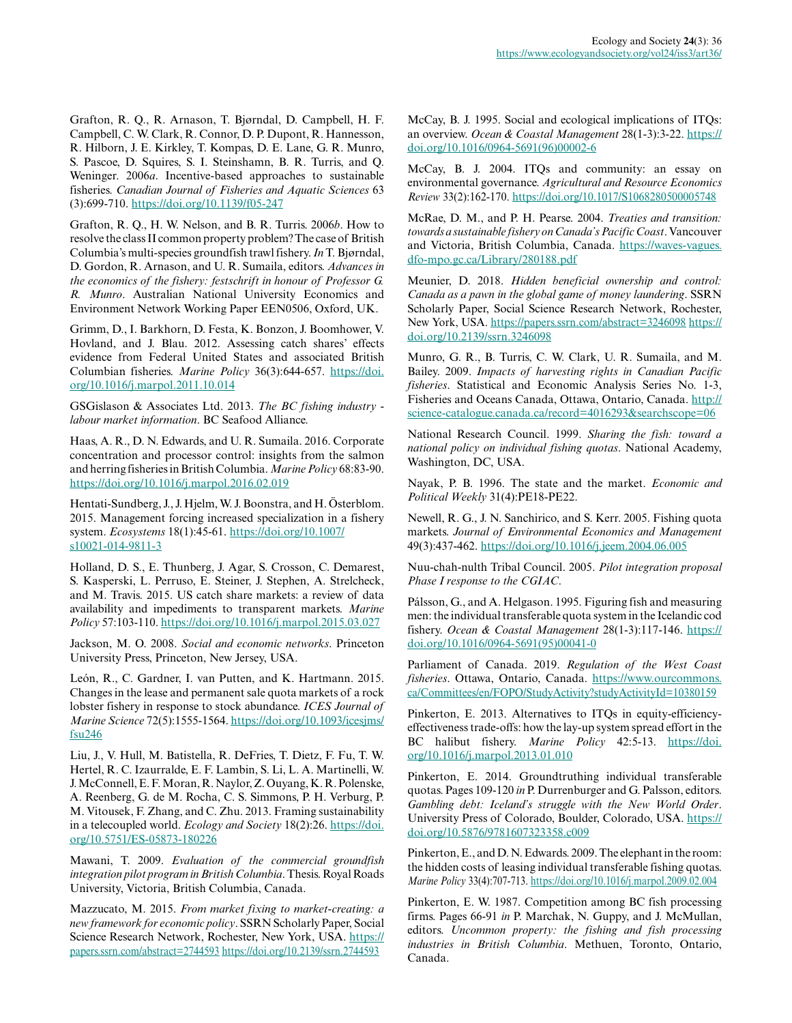Grafton, R. Q., R. Arnason, T. Bjørndal, D. Campbell, H. F. Campbell, C. W. Clark, R. Connor, D. P. Dupont, R. Hannesson, R. Hilborn, J. E. Kirkley, T. Kompas, D. E. Lane, G. R. Munro, S. Pascoe, D. Squires, S. I. Steinshamn, B. R. Turris, and Q. Weninger. 2006*a*. Incentive-based approaches to sustainable fisheries. *Canadian Journal of Fisheries and Aquatic Sciences* 63 (3):699-710. <https://doi.org/10.1139/f05-247>

Grafton, R. Q., H. W. Nelson, and B. R. Turris. 2006*b*. How to resolve the class II common property problem? The case of British Columbia's multi-species groundfish trawl fishery. *In* T. Bjørndal, D. Gordon, R. Arnason, and U. R. Sumaila, editors. *Advances in the economics of the fishery: festschrift in honour of Professor G. R. Munro*. Australian National University Economics and Environment Network Working Paper EEN0506, Oxford, UK.

Grimm, D., I. Barkhorn, D. Festa, K. Bonzon, J. Boomhower, V. Hovland, and J. Blau. 2012. Assessing catch shares' effects evidence from Federal United States and associated British Columbian fisheries. *Marine Policy* 36(3):644-657. [https://doi.](https://doi.org/10.1016/j.marpol.2011.10.014) [org/10.1016/j.marpol.2011.10.014](https://doi.org/10.1016/j.marpol.2011.10.014) 

GSGislason & Associates Ltd. 2013. *The BC fishing industry labour market information*. BC Seafood Alliance.

Haas, A. R., D. N. Edwards, and U. R. Sumaila. 2016. Corporate concentration and processor control: insights from the salmon and herring fisheries in British Columbia. *Marine Policy* 68:83-90. <https://doi.org/10.1016/j.marpol.2016.02.019>

Hentati-Sundberg, J., J. Hjelm, W. J. Boonstra, and H. Österblom. 2015. Management forcing increased specialization in a fishery system. *Ecosystems* 18(1):45-61. [https://doi.org/10.1007/](https://doi.org/10.1007/s10021-014-9811-3) [s10021-014-9811-3](https://doi.org/10.1007/s10021-014-9811-3) 

Holland, D. S., E. Thunberg, J. Agar, S. Crosson, C. Demarest, S. Kasperski, L. Perruso, E. Steiner, J. Stephen, A. Strelcheck, and M. Travis. 2015. US catch share markets: a review of data availability and impediments to transparent markets. *Marine Policy* 57:103-110.<https://doi.org/10.1016/j.marpol.2015.03.027>

Jackson, M. O. 2008. *Social and economic networks*. Princeton University Press, Princeton, New Jersey, USA.

León, R., C. Gardner, I. van Putten, and K. Hartmann. 2015. Changes in the lease and permanent sale quota markets of a rock lobster fishery in response to stock abundance. *ICES Journal of Marine Science* 72(5):1555-1564. [https://doi.org/10.1093/icesjms/](https://doi.org/10.1093/icesjms/fsu246) [fsu246](https://doi.org/10.1093/icesjms/fsu246) 

Liu, J., V. Hull, M. Batistella, R. DeFries, T. Dietz, F. Fu, T. W. Hertel, R. C. Izaurralde, E. F. Lambin, S. Li, L. A. Martinelli, W. J. McConnell, E. F. Moran, R. Naylor, Z. Ouyang, K. R. Polenske, A. Reenberg, G. de M. Rocha, C. S. Simmons, P. H. Verburg, P. M. Vitousek, F. Zhang, and C. Zhu. 2013. Framing sustainability in a telecoupled world. *Ecology and Society* 18(2):26. [https://doi.](https://doi.org/10.5751/ES-05873-180226) [org/10.5751/ES-05873-180226](https://doi.org/10.5751/ES-05873-180226) 

Mawani, T. 2009. *Evaluation of the commercial groundfish integration pilot program in British Columbia*. Thesis. Royal Roads University, Victoria, British Columbia, Canada.

Mazzucato, M. 2015. *From market fixing to market-creating: a new framework for economic policy*. SSRN Scholarly Paper, Social Science Research Network, Rochester, New York, USA. [https://](https://papers.ssrn.com/abstract=2744593) [papers.ssrn.com/abstract=2744593](https://papers.ssrn.com/abstract=2744593) <https://doi.org/10.2139/ssrn.2744593>

McCay, B. J. 1995. Social and ecological implications of ITQs: an overview. *Ocean & Coastal Management* 28(1-3):3-22. [https://](https://doi.org/10.1016/0964-5691(96)00002-6) [doi.org/10.1016/0964-5691\(96\)00002-6](https://doi.org/10.1016/0964-5691(96)00002-6) 

McCay, B. J. 2004. ITQs and community: an essay on environmental governance. *Agricultural and Resource Economics Review* 33(2):162-170.<https://doi.org/10.1017/S1068280500005748>

McRae, D. M., and P. H. Pearse. 2004. *Treaties and transition: towards a sustainable fishery on Canada's Pacific Coast*. Vancouver and Victoria, British Columbia, Canada. [https://waves-vagues.](https://waves-vagues.dfo-mpo.gc.ca/Library/280188.pdf) [dfo-mpo.gc.ca/Library/280188.pdf](https://waves-vagues.dfo-mpo.gc.ca/Library/280188.pdf)

Meunier, D. 2018. *Hidden beneficial ownership and control: Canada as a pawn in the global game of money laundering*. SSRN Scholarly Paper, Social Science Research Network, Rochester, New York, USA.<https://papers.ssrn.com/abstract=3246098> [https://](https://doi.org/10.2139/ssrn.3246098) [doi.org/10.2139/ssrn.3246098](https://doi.org/10.2139/ssrn.3246098)

Munro, G. R., B. Turris, C. W. Clark, U. R. Sumaila, and M. Bailey. 2009. *Impacts of harvesting rights in Canadian Pacific fisheries*. Statistical and Economic Analysis Series No. 1-3, Fisheries and Oceans Canada, Ottawa, Ontario, Canada. [http://](http://science-catalogue.canada.ca/record=4016293&searchscope=06) [science-catalogue.canada.ca/record=4016293&searchscope=06](http://science-catalogue.canada.ca/record=4016293&searchscope=06)

National Research Council. 1999. *Sharing the fish: toward a national policy on individual fishing quotas*. National Academy, Washington, DC, USA.

Nayak, P. B. 1996. The state and the market. *Economic and Political Weekly* 31(4):PE18-PE22.

Newell, R. G., J. N. Sanchirico, and S. Kerr. 2005. Fishing quota markets. *Journal of Environmental Economics and Management* 49(3):437-462. <https://doi.org/10.1016/j.jeem.2004.06.005>

Nuu-chah-nulth Tribal Council. 2005. *Pilot integration proposal Phase I response to the CGIAC*.

Pálsson, G., and A. Helgason. 1995. Figuring fish and measuring men: the individual transferable quota system in the Icelandic cod fishery. *Ocean & Coastal Management* 28(1-3):117-146. [https://](https://doi.org/10.1016/0964-5691(95)00041-0) [doi.org/10.1016/0964-5691\(95\)00041-0](https://doi.org/10.1016/0964-5691(95)00041-0) 

Parliament of Canada. 2019. *Regulation of the West Coast fisheries*. Ottawa, Ontario, Canada. [https://www.ourcommons.](https://www.ourcommons.ca/Committees/en/FOPO/StudyActivity?studyActivityId=10380159) [ca/Committees/en/FOPO/StudyActivity?studyActivityId=10380159](https://www.ourcommons.ca/Committees/en/FOPO/StudyActivity?studyActivityId=10380159) 

Pinkerton, E. 2013. Alternatives to ITQs in equity-efficiencyeffectiveness trade-offs: how the lay-up system spread effort in the BC halibut fishery. *Marine Policy* 42:5-13. [https://doi.](https://doi.org/10.1016/j.marpol.2013.01.010) [org/10.1016/j.marpol.2013.01.010](https://doi.org/10.1016/j.marpol.2013.01.010) 

Pinkerton, E. 2014. Groundtruthing individual transferable quotas. Pages 109-120 *in* P. Durrenburger and G. Palsson, editors. *Gambling debt: Iceland's struggle with the New World Order*. University Press of Colorado, Boulder, Colorado, USA. [https://](https://doi.org/10.5876/9781607323358.c009) [doi.org/10.5876/9781607323358.c009](https://doi.org/10.5876/9781607323358.c009)

Pinkerton, E., and D. N. Edwards. 2009. The elephant in the room: the hidden costs of leasing individual transferable fishing quotas. *Marine Policy* 33(4):707-713.<https://doi.org/10.1016/j.marpol.2009.02.004>

Pinkerton, E. W. 1987. Competition among BC fish processing firms. Pages 66-91 *in* P. Marchak, N. Guppy, and J. McMullan, editors. *Uncommon property: the fishing and fish processing industries in British Columbia*. Methuen, Toronto, Ontario, Canada.